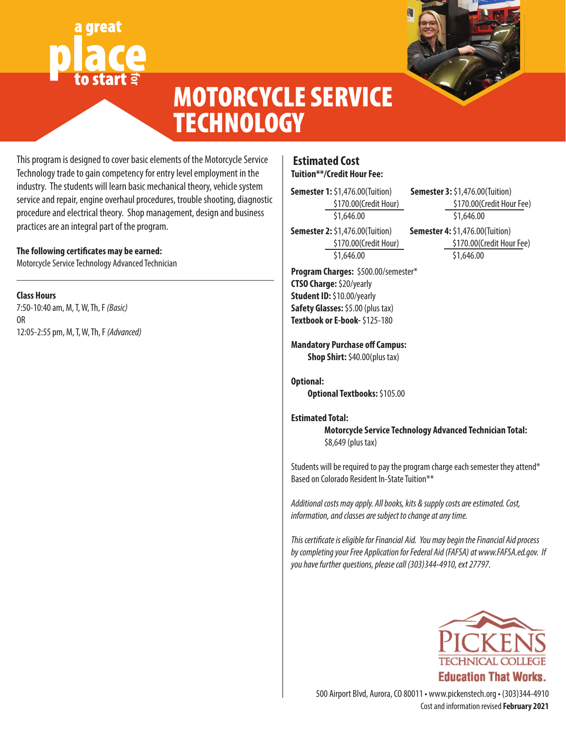# great **for**



## MOTORCYCLE SERVICE **TECHNOLOGY**

This program is designed to cover basic elements of the Motorcycle Service Technology trade to gain competency for entry level employment in the industry. The students will learn basic mechanical theory, vehicle system service and repair, engine overhaul procedures, trouble shooting, diagnostic procedure and electrical theory. Shop management, design and business practices are an integral part of the program.

#### **The following certificates may be earned:**

Motorcycle Service Technology Advanced Technician

#### **Class Hours**

7:50-10:40 am, M, T, W, Th, F *(Basic)* OR 12:05-2:55 pm, M, T, W, Th, F *(Advanced)*

### **Estimated Cost Tuition\*\*/Credit Hour Fee:**

**Semester 1:** \$1,476.00(Tuition) \$170.00(Credit Hour) \$1,646.00

**Semester 2:** \$1,476.00(Tuition) \$170.00(Credit Hour) \$1,646.00

**Semester 3:** \$1,476.00(Tuition) \$170.00(Credit Hour Fee) \$1,646.00 **Semester 4:** \$1,476.00(Tuition) \$170.00(Credit Hour Fee) \$1,646.00

**Program Charges:** \$500.00/semester\* **CTSO Charge:** \$20/yearly **Student ID:** \$10.00/yearly **Safety Glasses:** \$5.00 (plus tax) **Textbook or E-book-** \$125-180

**Mandatory Purchase off Campus:**

**Shop Shirt: \$40.00(plus tax)** 

**Optional: Optional Textbooks:** \$105.00

#### **Estimated Total:**

**Motorcycle Service Technology Advanced Technician Total:** \$8,649 (plus tax)

Students will be required to pay the program charge each semester they attend\* Based on Colorado Resident In-State Tuition\*\*

*Additional costs may apply. All books, kits & supply costs are estimated. Cost, information, and classes are subject to change at any time.*

*This certificate is eligible for Financial Aid. You may begin the Financial Aid process by completing your Free Application for Federal Aid (FAFSA) at www.FAFSA.ed.gov. If you have further questions, please call (303)344-4910, ext 27797.*



Cost and information revised **February 2021** 500 Airport Blvd, Aurora, CO 80011 • www.pickenstech.org • (303)344-4910